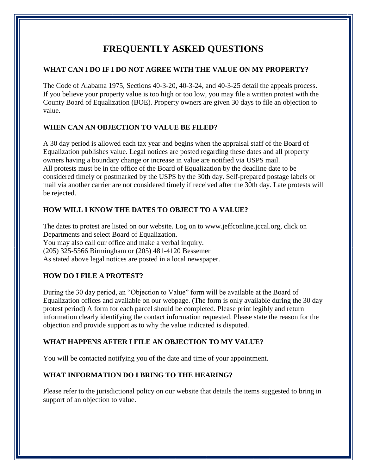# **FREQUENTLY ASKED QUESTIONS**

## **WHAT CAN I DO IF I DO NOT AGREE WITH THE VALUE ON MY PROPERTY?**

The Code of Alabama 1975, Sections 40-3-20, 40-3-24, and 40-3-25 detail the appeals process. If you believe your property value is too high or too low, you may file a written protest with the County Board of Equalization (BOE). Property owners are given 30 days to file an objection to value.

# **WHEN CAN AN OBJECTION TO VALUE BE FILED?**

A 30 day period is allowed each tax year and begins when the appraisal staff of the Board of Equalization publishes value. Legal notices are posted regarding these dates and all property owners having a boundary change or increase in value are notified via USPS mail. All protests must be in the office of the Board of Equalization by the deadline date to be considered timely or postmarked by the USPS by the 30th day. Self-prepared postage labels or mail via another carrier are not considered timely if received after the 30th day. Late protests will be rejected.

# **HOW WILL I KNOW THE DATES TO OBJECT TO A VALUE?**

The dates to protest are listed on our website. Log on to www.jeffconline.jccal.org, click on Departments and select Board of Equalization. You may also call our office and make a verbal inquiry. (205) 325-5566 Birmingham or (205) 481-4120 Bessemer As stated above legal notices are posted in a local newspaper.

# **HOW DO I FILE A PROTEST?**

During the 30 day period, an "Objection to Value" form will be available at the Board of Equalization offices and available on our webpage. (The form is only available during the 30 day protest period) A form for each parcel should be completed. Please print legibly and return information clearly identifying the contact information requested. Please state the reason for the objection and provide support as to why the value indicated is disputed.

# **WHAT HAPPENS AFTER I FILE AN OBJECTION TO MY VALUE?**

You will be contacted notifying you of the date and time of your appointment.

# **WHAT INFORMATION DO I BRING TO THE HEARING?**

Please refer to the jurisdictional policy on our website that details the items suggested to bring in support of an objection to value.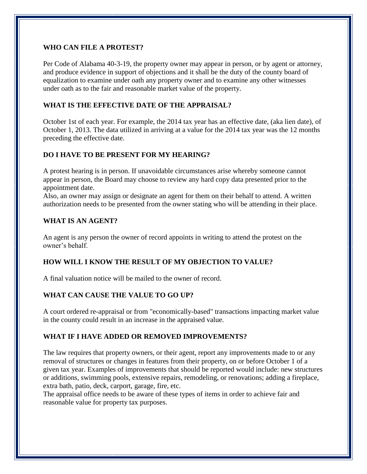#### **WHO CAN FILE A PROTEST?**

Per Code of Alabama 40-3-19, the property owner may appear in person, or by agent or attorney, and produce evidence in support of objections and it shall be the duty of the county board of equalization to examine under oath any property owner and to examine any other witnesses under oath as to the fair and reasonable market value of the property.

#### **WHAT IS THE EFFECTIVE DATE OF THE APPRAISAL?**

October 1st of each year. For example, the 2014 tax year has an effective date, (aka lien date), of October 1, 2013. The data utilized in arriving at a value for the 2014 tax year was the 12 months preceding the effective date.

### **DO I HAVE TO BE PRESENT FOR MY HEARING?**

A protest hearing is in person. If unavoidable circumstances arise whereby someone cannot appear in person, the Board may choose to review any hard copy data presented prior to the appointment date.

Also, an owner may assign or designate an agent for them on their behalf to attend. A written authorization needs to be presented from the owner stating who will be attending in their place.

#### **WHAT IS AN AGENT?**

An agent is any person the owner of record appoints in writing to attend the protest on the owner's behalf.

### **HOW WILL I KNOW THE RESULT OF MY OBJECTION TO VALUE?**

A final valuation notice will be mailed to the owner of record.

#### **WHAT CAN CAUSE THE VALUE TO GO UP?**

A court ordered re-appraisal or from "economically-based" transactions impacting market value in the county could result in an increase in the appraised value.

#### **WHAT IF I HAVE ADDED OR REMOVED IMPROVEMENTS?**

The law requires that property owners, or their agent, report any improvements made to or any removal of structures or changes in features from their property, on or before October 1 of a given tax year. Examples of improvements that should be reported would include: new structures or additions, swimming pools, extensive repairs, remodeling, or renovations; adding a fireplace, extra bath, patio, deck, carport, garage, fire, etc.

The appraisal office needs to be aware of these types of items in order to achieve fair and reasonable value for property tax purposes.